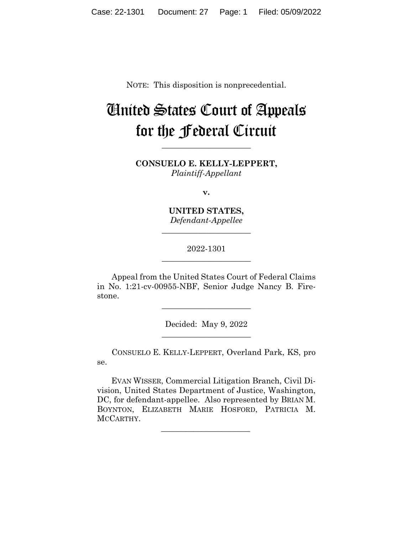NOTE: This disposition is nonprecedential.

# United States Court of Appeals for the Federal Circuit

**CONSUELO E. KELLY-LEPPERT,** *Plaintiff-Appellant*

**\_\_\_\_\_\_\_\_\_\_\_\_\_\_\_\_\_\_\_\_\_\_** 

**v.**

**UNITED STATES,** *Defendant-Appellee*

**\_\_\_\_\_\_\_\_\_\_\_\_\_\_\_\_\_\_\_\_\_\_** 

2022-1301 **\_\_\_\_\_\_\_\_\_\_\_\_\_\_\_\_\_\_\_\_\_\_** 

Appeal from the United States Court of Federal Claims in No. 1:21-cv-00955-NBF, Senior Judge Nancy B. Firestone.

> Decided: May 9, 2022  $\overline{\phantom{a}}$  , we can assume that the contract of  $\overline{\phantom{a}}$

> $\overline{\phantom{a}}$  , we can assume that the contract of  $\overline{\phantom{a}}$

CONSUELO E. KELLY-LEPPERT, Overland Park, KS, pro se.

 EVAN WISSER, Commercial Litigation Branch, Civil Division, United States Department of Justice, Washington, DC, for defendant-appellee. Also represented by BRIAN M. BOYNTON, ELIZABETH MARIE HOSFORD, PATRICIA M. MCCARTHY.

 $\mathcal{L}_\text{max}$  and  $\mathcal{L}_\text{max}$  and  $\mathcal{L}_\text{max}$  and  $\mathcal{L}_\text{max}$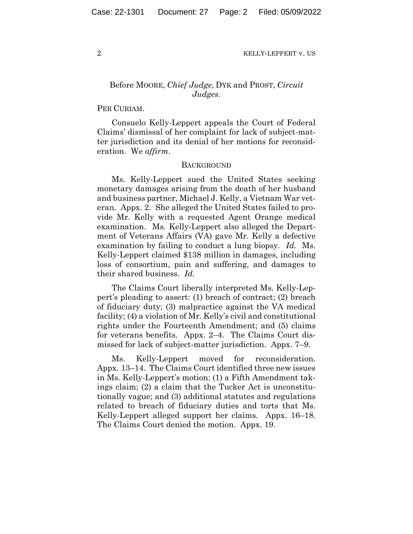2 KELLY-LEPPERT v. US

# Before MOORE, *Chief Judge*, DYK and PROST, *Circuit Judges*.

## PER CURIAM.

Consuelo Kelly-Leppert appeals the Court of Federal Claims' dismissal of her complaint for lack of subject-matter jurisdiction and its denial of her motions for reconsideration. We *affirm*.

#### **BACKGROUND**

Ms. Kelly-Leppert sued the United States seeking monetary damages arising from the death of her husband and business partner, Michael J. Kelly, a Vietnam War veteran. Appx. 2. She alleged the United States failed to provide Mr. Kelly with a requested Agent Orange medical examination. Ms. Kelly-Leppert also alleged the Department of Veterans Affairs (VA) gave Mr. Kelly a defective examination by failing to conduct a lung biopsy. *Id.* Ms. Kelly-Leppert claimed \$138 million in damages, including loss of consortium, pain and suffering, and damages to their shared business. *Id.*

The Claims Court liberally interpreted Ms. Kelly-Leppert's pleading to assert: (1) breach of contract; (2) breach of fiduciary duty; (3) malpractice against the VA medical facility; (4) a violation of Mr. Kelly's civil and constitutional rights under the Fourteenth Amendment; and (5) claims for veterans benefits. Appx. 2–4. The Claims Court dismissed for lack of subject-matter jurisdiction. Appx. 7–9.

Ms. Kelly-Leppert moved for reconsideration. Appx. 13–14. The Claims Court identified three new issues in Ms. Kelly-Leppert's motion: (1) a Fifth Amendment takings claim; (2) a claim that the Tucker Act is unconstitutionally vague; and (3) additional statutes and regulations related to breach of fiduciary duties and torts that Ms. Kelly-Leppert alleged support her claims. Appx. 16–18. The Claims Court denied the motion. Appx. 19.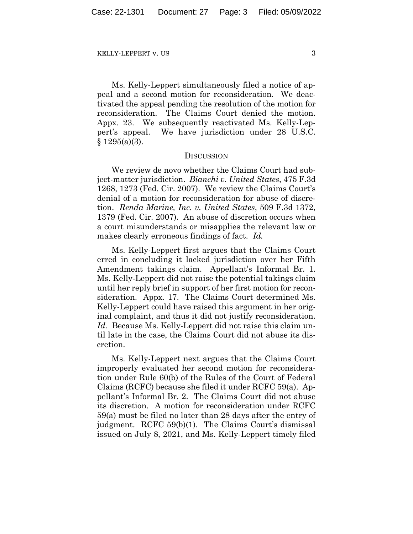KELLY-LEPPERT v. US 3

Ms. Kelly-Leppert simultaneously filed a notice of appeal and a second motion for reconsideration. We deactivated the appeal pending the resolution of the motion for reconsideration. The Claims Court denied the motion. Appx. 23. We subsequently reactivated Ms. Kelly-Leppert's appeal. We have jurisdiction under 28 U.S.C.  $§ 1295(a)(3).$ 

### **DISCUSSION**

We review de novo whether the Claims Court had subject-matter jurisdiction. *Bianchi v. United States*, 475 F.3d 1268, 1273 (Fed. Cir. 2007). We review the Claims Court's denial of a motion for reconsideration for abuse of discretion. *Renda Marine, Inc. v. United States*, 509 F.3d 1372, 1379 (Fed. Cir. 2007). An abuse of discretion occurs when a court misunderstands or misapplies the relevant law or makes clearly erroneous findings of fact. *Id.*

Ms. Kelly-Leppert first argues that the Claims Court erred in concluding it lacked jurisdiction over her Fifth Amendment takings claim. Appellant's Informal Br. 1. Ms. Kelly-Leppert did not raise the potential takings claim until her reply brief in support of her first motion for reconsideration. Appx. 17. The Claims Court determined Ms. Kelly-Leppert could have raised this argument in her original complaint, and thus it did not justify reconsideration. *Id.* Because Ms. Kelly-Leppert did not raise this claim until late in the case, the Claims Court did not abuse its discretion.

Ms. Kelly-Leppert next argues that the Claims Court improperly evaluated her second motion for reconsideration under Rule 60(b) of the Rules of the Court of Federal Claims (RCFC) because she filed it under RCFC 59(a). Appellant's Informal Br. 2. The Claims Court did not abuse its discretion. A motion for reconsideration under RCFC 59(a) must be filed no later than 28 days after the entry of judgment. RCFC 59(b)(1). The Claims Court's dismissal issued on July 8, 2021, and Ms. Kelly-Leppert timely filed